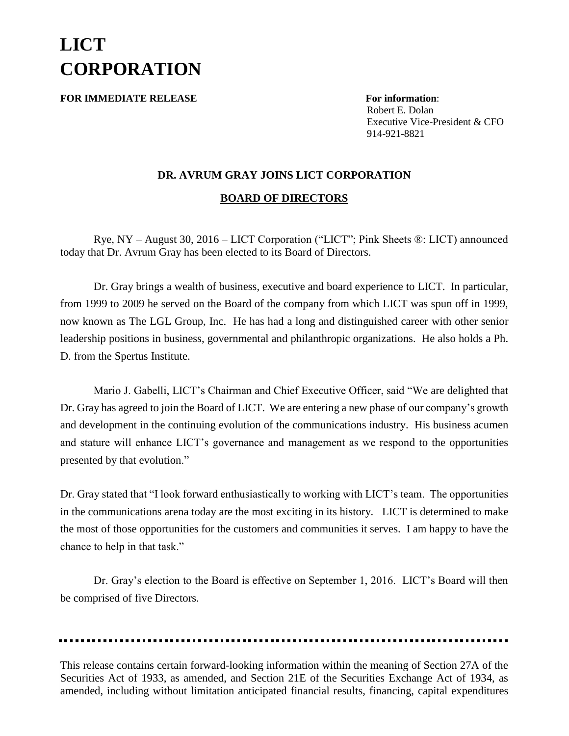## **LICT CORPORATION**

**FOR IMMEDIATE RELEASE For information**:

 Robert E. Dolan Executive Vice-President & CFO 914-921-8821

## **DR. AVRUM GRAY JOINS LICT CORPORATION**

## **BOARD OF DIRECTORS**

Rye, NY – August 30, 2016 – LICT Corporation ("LICT"; Pink Sheets ®: LICT) announced today that Dr. Avrum Gray has been elected to its Board of Directors.

Dr. Gray brings a wealth of business, executive and board experience to LICT. In particular, from 1999 to 2009 he served on the Board of the company from which LICT was spun off in 1999, now known as The LGL Group, Inc. He has had a long and distinguished career with other senior leadership positions in business, governmental and philanthropic organizations. He also holds a Ph. D. from the Spertus Institute.

Mario J. Gabelli, LICT's Chairman and Chief Executive Officer, said "We are delighted that Dr. Gray has agreed to join the Board of LICT. We are entering a new phase of our company's growth and development in the continuing evolution of the communications industry. His business acumen and stature will enhance LICT's governance and management as we respond to the opportunities presented by that evolution."

Dr. Gray stated that "I look forward enthusiastically to working with LICT's team. The opportunities in the communications arena today are the most exciting in its history. LICT is determined to make the most of those opportunities for the customers and communities it serves. I am happy to have the chance to help in that task."

Dr. Gray's election to the Board is effective on September 1, 2016. LICT's Board will then be comprised of five Directors.

This release contains certain forward-looking information within the meaning of Section 27A of the Securities Act of 1933, as amended, and Section 21E of the Securities Exchange Act of 1934, as amended, including without limitation anticipated financial results, financing, capital expenditures